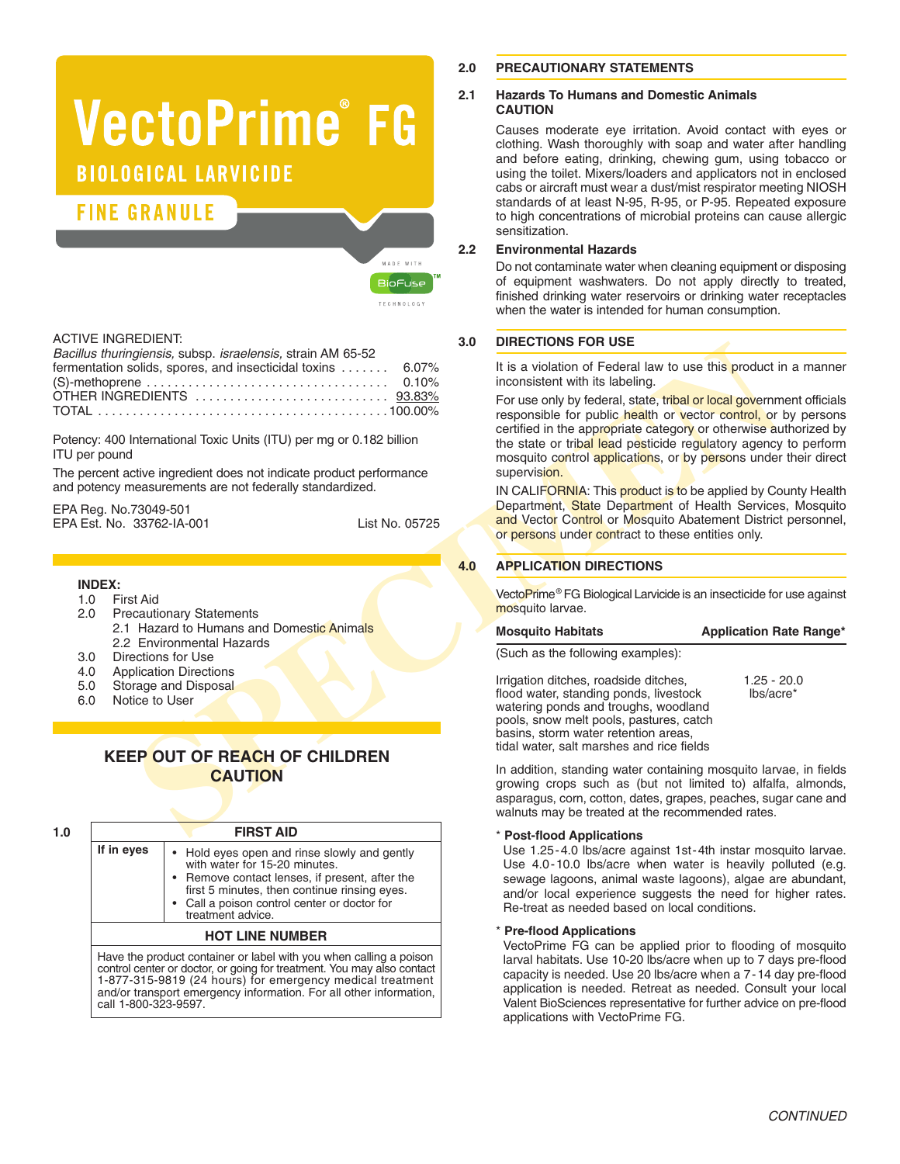# **VectoPrime®FG BIOLOGICAL LARVICIDE**

# **FINE GRANULE**

| MADE WITH      |
|----------------|
| <b>BioFuse</b> |
| TECHNOLOGY     |

# ACTIVE INGREDIENT:

| Bacillus thuringiensis, subsp. israelensis, strain AM 65-52 |  |
|-------------------------------------------------------------|--|
| fermentation solids, spores, and insecticidal toxins  6.07% |  |
|                                                             |  |
|                                                             |  |
|                                                             |  |

Potency: 400 International Toxic Units (ITU) per mg or 0.182 billion ITU per pound

The percent active ingredient does not indicate product performance and potency measurements are not federally standardized.

EPA Reg. No.73049-501 EPA Est. No. 33762-IA-001 List No. 05725

#### **INDEX:**

- 1.0 First Aid
- **Precautionary Statements** 2.1 Hazard to Humans and Domestic Animals 2.2 Environmental Hazards
- 3.0 Directions for Use
- 4.0 Application Directions

call 1-800-323-9597.

- 5.0 Storage and Disposal
- 6.0 Notice to User

# **KEEP OUT OF REACH OF CHILDREN CAUTION**

|            | <b>FIRST AID</b>                                                                                                                                                                                                                                                                |
|------------|---------------------------------------------------------------------------------------------------------------------------------------------------------------------------------------------------------------------------------------------------------------------------------|
| If in eyes | • Hold eyes open and rinse slowly and gently<br>with water for 15-20 minutes.<br>• Remove contact lenses, if present, after the<br>first 5 minutes, then continue rinsing eyes.<br>• Call a poison control center or doctor for<br>treatment advice.                            |
|            | <b>HOT LINE NUMBER</b>                                                                                                                                                                                                                                                          |
|            | Have the product container or label with you when calling a poison<br>control center or doctor, or going for treatment. You may also contact<br>1-877-315-9819 (24 hours) for emergency medical treatment<br>and/or transport emergency information. For all other information, |

# **2.0 PRECAUTIONARY STATEMENTS**

#### **2.1 Hazards To Humans and Domestic Animals CAUTION**

Causes moderate eye irritation. Avoid contact with eyes or clothing. Wash thoroughly with soap and water after handling and before eating, drinking, chewing gum, using tobacco or using the toilet. Mixers/loaders and applicators not in enclosed cabs or aircraft must wear a dust/mist respirator meeting NIOSH standards of at least N-95, R-95, or P-95. Repeated exposure to high concentrations of microbial proteins can cause allergic sensitization.

# **2.2 Environmental Hazards**

Do not contaminate water when cleaning equipment or disposing of equipment washwaters. Do not apply directly to treated, finished drinking water reservoirs or drinking water receptacles when the water is intended for human consumption.

# **3.0 DIRECTIONS FOR USE**

It is a violation of Federal law to use this product in a manner inconsistent with its labeling.

Fractional States, states, states, states, states, states, states, states, states, states, and the control of the state of the state of the state of the state of the state of the state of the state of the state of the stat For use only by federal, state, tribal or local government officials responsible for public health or vector control, or by persons certified in the appropriate category or otherwise authorized by the state or tribal lead pesticide regulatory agency to perform mosquito control applications, or by persons under their direct supervision.

IN CALIFORNIA: This product is to be applied by County Health Department, State Department of Health Services, Mosquito and Vector Control or Mosquito Abatement District personnel, or persons under contract to these entities only.

# **4.0 APPLICATION DIRECTIONS**

VectoPrime® FG Biological Larvicide is an insecticide for use against mosquito larvae.

| <b>Mosquito Habitats</b> | <b>Application Rate Range*</b> |
|--------------------------|--------------------------------|
|--------------------------|--------------------------------|

(Such as the following examples):

Irrigation ditches, roadside ditches, 1.25 - 20.0<br>flood water, standing ponds, livestock libs/acre\* flood water, standing ponds, livestock watering ponds and troughs, woodland pools, snow melt pools, pastures, catch basins, storm water retention areas, tidal water, salt marshes and rice fields

In addition, standing water containing mosquito larvae, in fields growing crops such as (but not limited to) alfalfa, almonds, asparagus, corn, cotton, dates, grapes, peaches, sugar cane and walnuts may be treated at the recommended rates.

#### \* **Post-flood Applications**

Use 1.25-4.0 lbs/acre against 1st-4th instar mosquito larvae. Use 4.0-10.0 lbs/acre when water is heavily polluted (e.g. sewage lagoons, animal waste lagoons), algae are abundant, and/or local experience suggests the need for higher rates. Re-treat as needed based on local conditions.

\* **Pre-flood Applications**

VectoPrime FG can be applied prior to flooding of mosquito larval habitats. Use 10-20 lbs/acre when up to 7 days pre-flood capacity is needed. Use 20 lbs/acre when a 7-14 day pre-flood application is needed. Retreat as needed. Consult your local Valent BioSciences representative for further advice on pre-flood applications with VectoPrime FG.